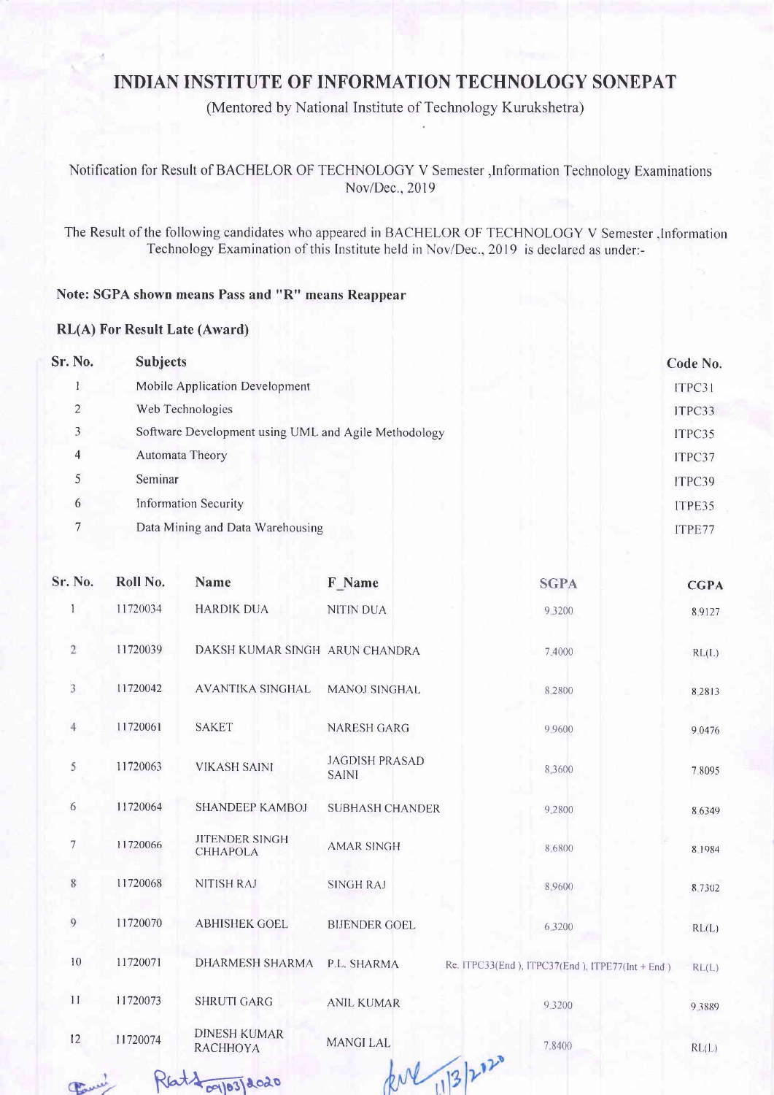## INDIAN INSTITUTE OF INFORMATION TECHNOLOGY SONEPAT

(Mentored by National Institute of Technology Kurukshetra)

Notifrcation for Result of BACHELOR OF TECHNOLOGY V Semester,lnformation Technology Examinations Nov/Dec., 2019

The Result of the following candidates who appeared in BACHELOR OF TECHNOLOGY V Semester. Information Technology Examination of this Institute held in Nov/Dec., 2019 is declared as under:-

## Note: SGPA shown means Pass and "R" means Reappear

 $radh<sup>3</sup>$ 

## RL(A) For Result Late (Award)

| Sr. No.        | <b>Subjects</b>                                      | Code No. |
|----------------|------------------------------------------------------|----------|
|                | Mobile Application Development                       | ITPC31   |
| $\overline{2}$ | Web Technologies                                     | ITPC33   |
| 3              | Software Development using UML and Agile Methodology | ITPC35   |
| $\overline{4}$ | Automata Theory                                      | ITPC37   |
| 5              | Seminar                                              | ITPC39   |
| 6              | <b>Information Security</b>                          | ITPE35   |
| 7              | Data Mining and Data Warehousing                     | ITPE77   |

| Sr. No.      | Roll No. | Name                                                | F Name                                | <b>SGPA</b>                                     | <b>CGPA</b> |
|--------------|----------|-----------------------------------------------------|---------------------------------------|-------------------------------------------------|-------------|
| 1            | 11720034 | <b>HARDIK DUA</b>                                   | <b>NITIN DUA</b>                      | 9.3200                                          | 8.9127      |
| $\mathbf{2}$ | 11720039 | DAKSH KUMAR SINGH ARUN CHANDRA                      |                                       | 7.4000                                          | RL(L)       |
| 3            | 11720042 | <b>AVANTIKA SINGHAL</b>                             | <b>MANOJ SINGHAL</b>                  | 8.2800                                          | 8 2 8 1 3   |
| $4\,$        | 11720061 | <b>SAKET</b>                                        | <b>NARESH GARG</b>                    | 9 9 6 0 0                                       | 9.0476      |
| 5            | 11720063 | <b>VIKASH SAINI</b>                                 | <b>JAGDISH PRASAD</b><br><b>SAINI</b> | 8.3600                                          | 7.8095      |
| 6            | 11720064 | SHANDEEP KAMBOJ                                     | <b>SUBHASH CHANDER</b>                | 9.2800                                          | 8.6349      |
| $\tau$       | 11720066 | <b>JITENDER SINGH</b><br>CHHAPOLA                   | <b>AMAR SINGH</b>                     | 8.6800                                          | 8.1984      |
| 8            | 11720068 | <b>NITISH RAJ</b>                                   | <b>SINGH RAJ</b>                      | 8 9600                                          | 8 7 3 0 2   |
| 9            | 11720070 | <b>ABHISHEK GOEL</b>                                | <b>BIJENDER GOEL</b>                  | 6.3200                                          | RL(L)       |
| 10           | 11720071 | DHARMESH SHARMA                                     | P.L. SHARMA                           | Re. ITPC33(End), ITPC37(End). ITPE77(Int + End) | RL(L)       |
| 11           | 11720073 | <b>SHRUTI GARG</b>                                  | <b>ANIL KUMAR</b>                     | 9.3200                                          | 9.3889      |
| 12           | 11720074 | <b>DINESH KUMAR</b><br><b>RACHHOYA</b>              | <b>MANGILAL</b>                       | 7.8400                                          | RL(L)       |
|              |          | $\mathbf{A}$ $\mathbf{A}$ $\mathbf{A}$ $\mathbf{A}$ |                                       | $hN_{12}h^{12}$                                 |             |